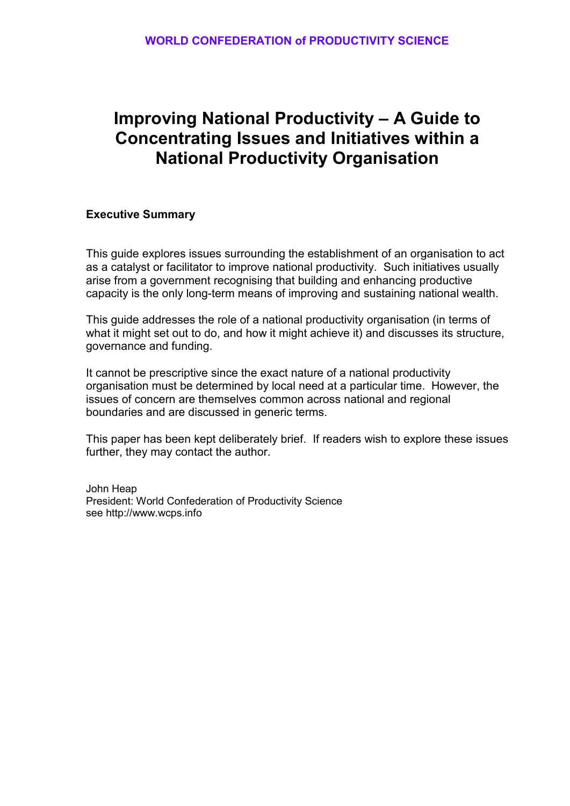# **Improving National Productivity – A Guide to Concentrating Issues and Initiatives within a National Productivity Organisation**

# **Executive Summary**

This guide explores issues surrounding the establishment of an organisation to act as a catalyst or facilitator to improve national productivity. Such initiatives usually arise from a government recognising that building and enhancing productive capacity is the only long-term means of improving and sustaining national wealth.

This guide addresses the role of a national productivity organisation (in terms of what it might set out to do, and how it might achieve it) and discusses its structure, governance and funding.

It cannot be prescriptive since the exact nature of a national productivity organisation must be determined by local need at a particular time. However, the issues of concern are themselves common across national and regional boundaries and are discussed in generic terms.

This paper has been kept deliberately brief. If readers wish to explore these issues further, they may contact the author.

John Heap President: World Confederation of Productivity Science see http://www.wcps.info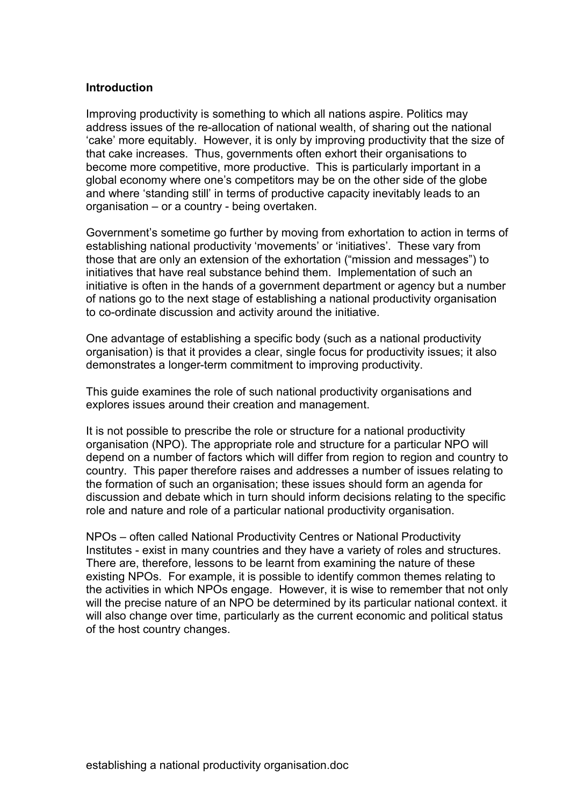# **Introduction**

Improving productivity is something to which all nations aspire. Politics may address issues of the re-allocation of national wealth, of sharing out the national 'cake' more equitably. However, it is only by improving productivity that the size of that cake increases. Thus, governments often exhort their organisations to become more competitive, more productive. This is particularly important in a global economy where one's competitors may be on the other side of the globe and where 'standing still' in terms of productive capacity inevitably leads to an organisation – or a country - being overtaken.

Government's sometime go further by moving from exhortation to action in terms of establishing national productivity 'movements' or 'initiatives'. These vary from those that are only an extension of the exhortation ("mission and messages") to initiatives that have real substance behind them. Implementation of such an initiative is often in the hands of a government department or agency but a number of nations go to the next stage of establishing a national productivity organisation to co-ordinate discussion and activity around the initiative.

One advantage of establishing a specific body (such as a national productivity organisation) is that it provides a clear, single focus for productivity issues; it also demonstrates a longer-term commitment to improving productivity.

This guide examines the role of such national productivity organisations and explores issues around their creation and management.

It is not possible to prescribe the role or structure for a national productivity organisation (NPO). The appropriate role and structure for a particular NPO will depend on a number of factors which will differ from region to region and country to country. This paper therefore raises and addresses a number of issues relating to the formation of such an organisation; these issues should form an agenda for discussion and debate which in turn should inform decisions relating to the specific role and nature and role of a particular national productivity organisation.

NPOs – often called National Productivity Centres or National Productivity Institutes - exist in many countries and they have a variety of roles and structures. There are, therefore, lessons to be learnt from examining the nature of these existing NPOs. For example, it is possible to identify common themes relating to the activities in which NPOs engage. However, it is wise to remember that not only will the precise nature of an NPO be determined by its particular national context. it will also change over time, particularly as the current economic and political status of the host country changes.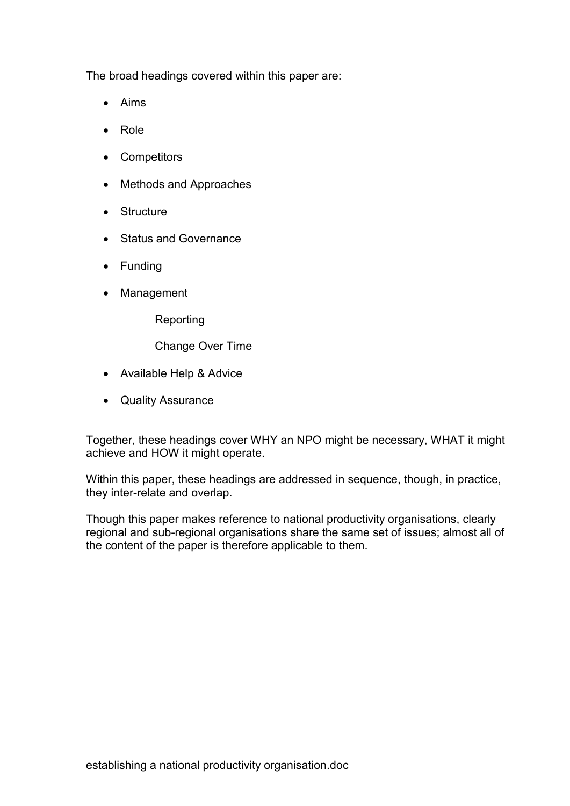The broad headings covered within this paper are:

- Aims
- Role
- Competitors
- Methods and Approaches
- Structure
- Status and Governance
- Funding
- Management

Reporting

Change Over Time

- Available Help & Advice
- Quality Assurance

Together, these headings cover WHY an NPO might be necessary, WHAT it might achieve and HOW it might operate.

Within this paper, these headings are addressed in sequence, though, in practice, they inter-relate and overlap.

Though this paper makes reference to national productivity organisations, clearly regional and sub-regional organisations share the same set of issues; almost all of the content of the paper is therefore applicable to them.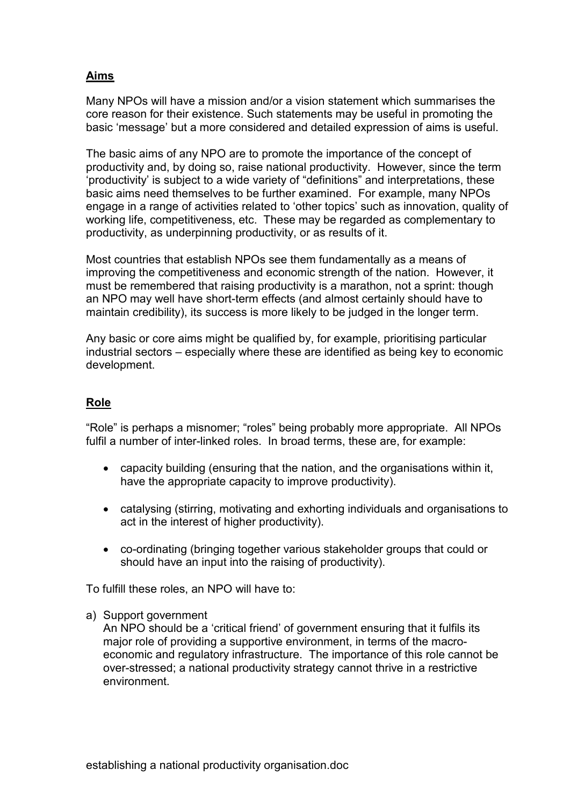# **Aims**

Many NPOs will have a mission and/or a vision statement which summarises the core reason for their existence. Such statements may be useful in promoting the basic 'message' but a more considered and detailed expression of aims is useful.

The basic aims of any NPO are to promote the importance of the concept of productivity and, by doing so, raise national productivity. However, since the term 'productivity' is subject to a wide variety of "definitions" and interpretations, these basic aims need themselves to be further examined. For example, many NPOs engage in a range of activities related to 'other topics' such as innovation, quality of working life, competitiveness, etc. These may be regarded as complementary to productivity, as underpinning productivity, or as results of it.

Most countries that establish NPOs see them fundamentally as a means of improving the competitiveness and economic strength of the nation. However, it must be remembered that raising productivity is a marathon, not a sprint: though an NPO may well have short-term effects (and almost certainly should have to maintain credibility), its success is more likely to be judged in the longer term.

Any basic or core aims might be qualified by, for example, prioritising particular industrial sectors – especially where these are identified as being key to economic development.

# **Role**

"Role" is perhaps a misnomer; "roles" being probably more appropriate. All NPOs fulfil a number of inter-linked roles. In broad terms, these are, for example:

- capacity building (ensuring that the nation, and the organisations within it, have the appropriate capacity to improve productivity).
- catalysing (stirring, motivating and exhorting individuals and organisations to act in the interest of higher productivity).
- co-ordinating (bringing together various stakeholder groups that could or should have an input into the raising of productivity).

To fulfill these roles, an NPO will have to:

a) Support government

An NPO should be a 'critical friend' of government ensuring that it fulfils its major role of providing a supportive environment, in terms of the macroeconomic and regulatory infrastructure. The importance of this role cannot be over-stressed; a national productivity strategy cannot thrive in a restrictive environment.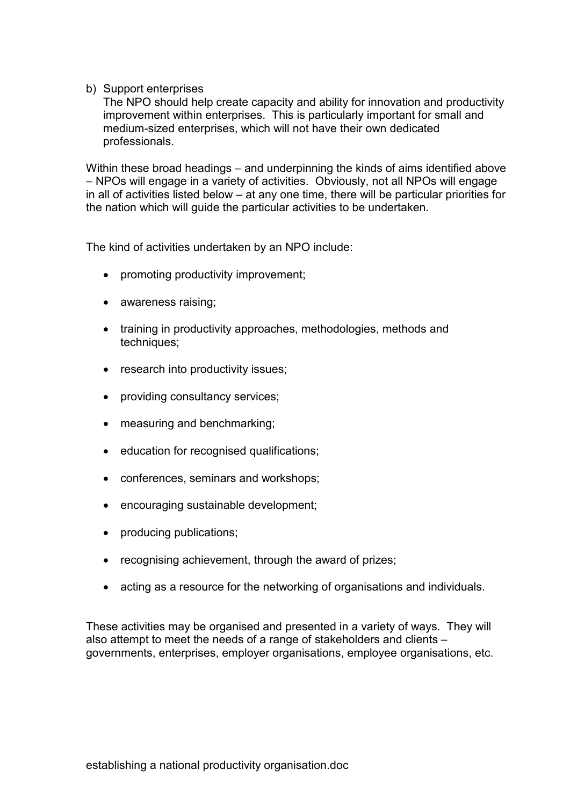b) Support enterprises

The NPO should help create capacity and ability for innovation and productivity improvement within enterprises. This is particularly important for small and medium-sized enterprises, which will not have their own dedicated professionals.

Within these broad headings – and underpinning the kinds of aims identified above – NPOs will engage in a variety of activities. Obviously, not all NPOs will engage in all of activities listed below – at any one time, there will be particular priorities for the nation which will guide the particular activities to be undertaken.

The kind of activities undertaken by an NPO include:

- promoting productivity improvement;
- awareness raising;
- training in productivity approaches, methodologies, methods and techniques;
- research into productivity issues;
- providing consultancy services;
- measuring and benchmarking;
- education for recognised qualifications;
- conferences, seminars and workshops;
- encouraging sustainable development;
- producing publications;
- recognising achievement, through the award of prizes;
- acting as a resource for the networking of organisations and individuals.

These activities may be organised and presented in a variety of ways. They will also attempt to meet the needs of a range of stakeholders and clients – governments, enterprises, employer organisations, employee organisations, etc.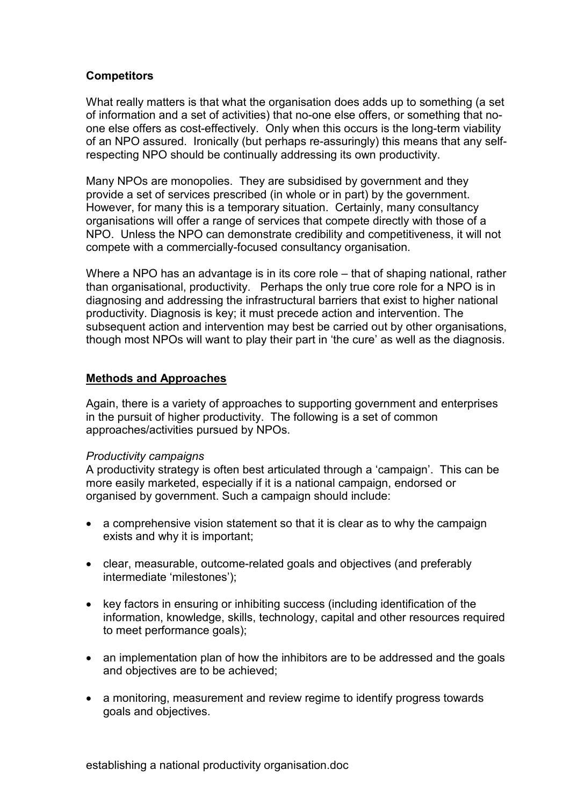# **Competitors**

What really matters is that what the organisation does adds up to something (a set of information and a set of activities) that no-one else offers, or something that noone else offers as cost-effectively. Only when this occurs is the long-term viability of an NPO assured. Ironically (but perhaps re-assuringly) this means that any selfrespecting NPO should be continually addressing its own productivity.

Many NPOs are monopolies. They are subsidised by government and they provide a set of services prescribed (in whole or in part) by the government. However, for many this is a temporary situation. Certainly, many consultancy organisations will offer a range of services that compete directly with those of a NPO. Unless the NPO can demonstrate credibility and competitiveness, it will not compete with a commercially-focused consultancy organisation.

Where a NPO has an advantage is in its core role – that of shaping national, rather than organisational, productivity. Perhaps the only true core role for a NPO is in diagnosing and addressing the infrastructural barriers that exist to higher national productivity. Diagnosis is key; it must precede action and intervention. The subsequent action and intervention may best be carried out by other organisations, though most NPOs will want to play their part in 'the cure' as well as the diagnosis.

# **Methods and Approaches**

Again, there is a variety of approaches to supporting government and enterprises in the pursuit of higher productivity. The following is a set of common approaches/activities pursued by NPOs.

# *Productivity campaigns*

A productivity strategy is often best articulated through a 'campaign'. This can be more easily marketed, especially if it is a national campaign, endorsed or organised by government. Such a campaign should include:

- a comprehensive vision statement so that it is clear as to why the campaign exists and why it is important;
- clear, measurable, outcome-related goals and objectives (and preferably intermediate 'milestones');
- key factors in ensuring or inhibiting success (including identification of the information, knowledge, skills, technology, capital and other resources required to meet performance goals);
- an implementation plan of how the inhibitors are to be addressed and the goals and objectives are to be achieved;
- a monitoring, measurement and review regime to identify progress towards goals and objectives.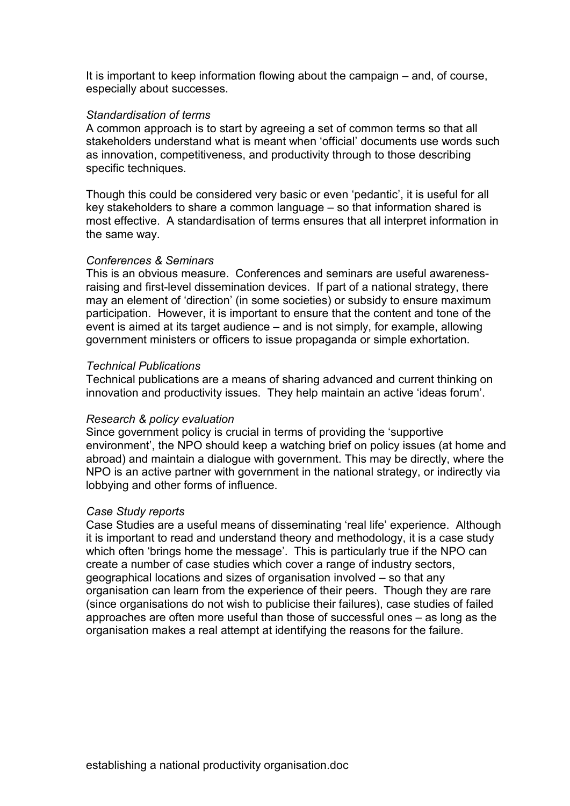It is important to keep information flowing about the campaign – and, of course, especially about successes.

#### *Standardisation of terms*

A common approach is to start by agreeing a set of common terms so that all stakeholders understand what is meant when 'official' documents use words such as innovation, competitiveness, and productivity through to those describing specific techniques.

Though this could be considered very basic or even 'pedantic', it is useful for all key stakeholders to share a common language – so that information shared is most effective. A standardisation of terms ensures that all interpret information in the same way.

## *Conferences & Seminars*

This is an obvious measure. Conferences and seminars are useful awarenessraising and first-level dissemination devices. If part of a national strategy, there may an element of 'direction' (in some societies) or subsidy to ensure maximum participation. However, it is important to ensure that the content and tone of the event is aimed at its target audience – and is not simply, for example, allowing government ministers or officers to issue propaganda or simple exhortation.

#### *Technical Publications*

Technical publications are a means of sharing advanced and current thinking on innovation and productivity issues. They help maintain an active 'ideas forum'.

#### *Research & policy evaluation*

Since government policy is crucial in terms of providing the 'supportive environment', the NPO should keep a watching brief on policy issues (at home and abroad) and maintain a dialogue with government. This may be directly, where the NPO is an active partner with government in the national strategy, or indirectly via lobbying and other forms of influence.

#### *Case Study reports*

Case Studies are a useful means of disseminating 'real life' experience. Although it is important to read and understand theory and methodology, it is a case study which often 'brings home the message'. This is particularly true if the NPO can create a number of case studies which cover a range of industry sectors, geographical locations and sizes of organisation involved – so that any organisation can learn from the experience of their peers. Though they are rare (since organisations do not wish to publicise their failures), case studies of failed approaches are often more useful than those of successful ones – as long as the organisation makes a real attempt at identifying the reasons for the failure.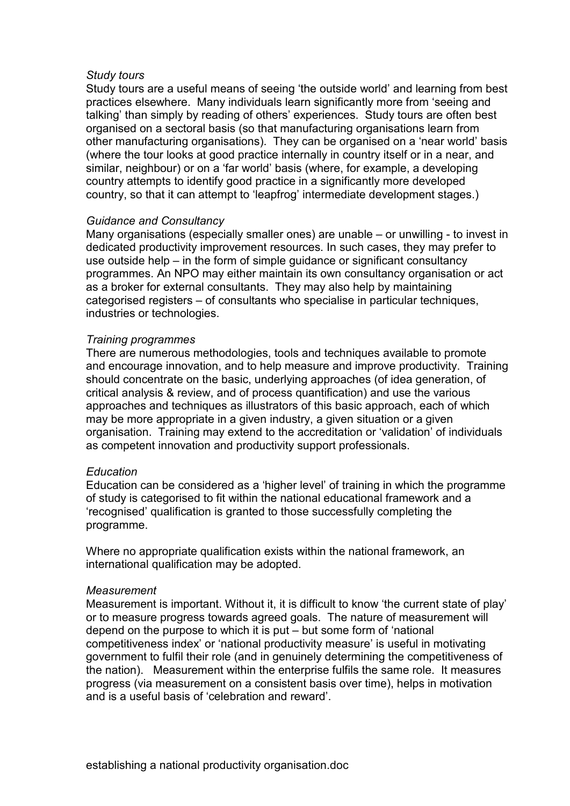#### *Study tours*

Study tours are a useful means of seeing 'the outside world' and learning from best practices elsewhere. Many individuals learn significantly more from 'seeing and talking' than simply by reading of others' experiences. Study tours are often best organised on a sectoral basis (so that manufacturing organisations learn from other manufacturing organisations). They can be organised on a 'near world' basis (where the tour looks at good practice internally in country itself or in a near, and similar, neighbour) or on a 'far world' basis (where, for example, a developing country attempts to identify good practice in a significantly more developed country, so that it can attempt to 'leapfrog' intermediate development stages.)

#### *Guidance and Consultancy*

Many organisations (especially smaller ones) are unable – or unwilling - to invest in dedicated productivity improvement resources. In such cases, they may prefer to use outside help – in the form of simple guidance or significant consultancy programmes. An NPO may either maintain its own consultancy organisation or act as a broker for external consultants. They may also help by maintaining categorised registers – of consultants who specialise in particular techniques, industries or technologies.

#### *Training programmes*

There are numerous methodologies, tools and techniques available to promote and encourage innovation, and to help measure and improve productivity. Training should concentrate on the basic, underlying approaches (of idea generation, of critical analysis & review, and of process quantification) and use the various approaches and techniques as illustrators of this basic approach, each of which may be more appropriate in a given industry, a given situation or a given organisation. Training may extend to the accreditation or 'validation' of individuals as competent innovation and productivity support professionals.

#### *Education*

Education can be considered as a 'higher level' of training in which the programme of study is categorised to fit within the national educational framework and a 'recognised' qualification is granted to those successfully completing the programme.

Where no appropriate qualification exists within the national framework, an international qualification may be adopted.

#### *Measurement*

Measurement is important. Without it, it is difficult to know 'the current state of play' or to measure progress towards agreed goals. The nature of measurement will depend on the purpose to which it is put – but some form of 'national competitiveness index' or 'national productivity measure' is useful in motivating government to fulfil their role (and in genuinely determining the competitiveness of the nation). Measurement within the enterprise fulfils the same role. It measures progress (via measurement on a consistent basis over time), helps in motivation and is a useful basis of 'celebration and reward'.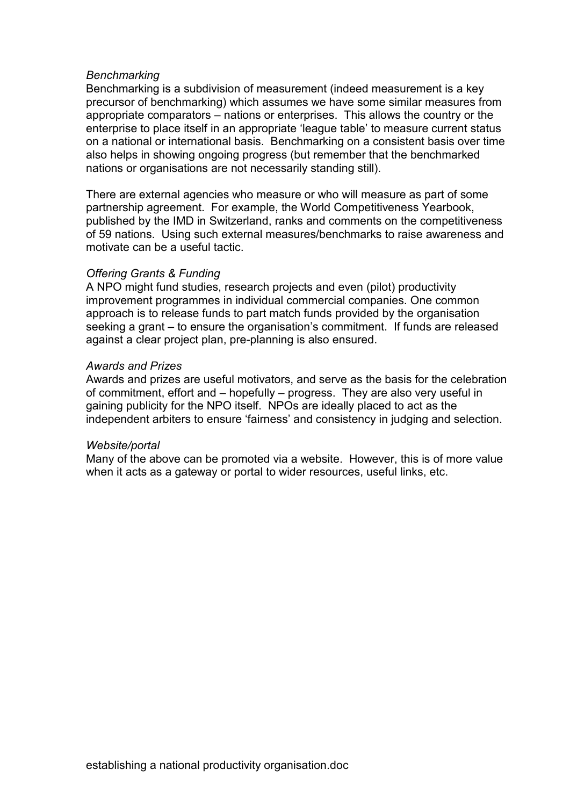#### *Benchmarking*

Benchmarking is a subdivision of measurement (indeed measurement is a key precursor of benchmarking) which assumes we have some similar measures from appropriate comparators – nations or enterprises. This allows the country or the enterprise to place itself in an appropriate 'league table' to measure current status on a national or international basis. Benchmarking on a consistent basis over time also helps in showing ongoing progress (but remember that the benchmarked nations or organisations are not necessarily standing still).

There are external agencies who measure or who will measure as part of some partnership agreement. For example, the World Competitiveness Yearbook, published by the IMD in Switzerland, ranks and comments on the competitiveness of 59 nations. Using such external measures/benchmarks to raise awareness and motivate can be a useful tactic.

## *Offering Grants & Funding*

A NPO might fund studies, research projects and even (pilot) productivity improvement programmes in individual commercial companies. One common approach is to release funds to part match funds provided by the organisation seeking a grant – to ensure the organisation's commitment. If funds are released against a clear project plan, pre-planning is also ensured.

#### *Awards and Prizes*

Awards and prizes are useful motivators, and serve as the basis for the celebration of commitment, effort and – hopefully – progress. They are also very useful in gaining publicity for the NPO itself. NPOs are ideally placed to act as the independent arbiters to ensure 'fairness' and consistency in judging and selection.

#### *Website/portal*

Many of the above can be promoted via a website. However, this is of more value when it acts as a gateway or portal to wider resources, useful links, etc.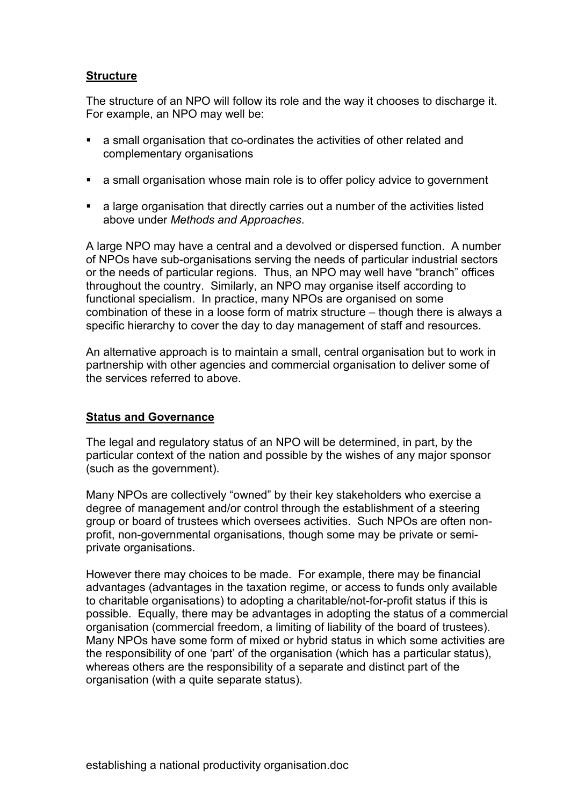# **Structure**

The structure of an NPO will follow its role and the way it chooses to discharge it. For example, an NPO may well be:

- a small organisation that co-ordinates the activities of other related and complementary organisations
- a small organisation whose main role is to offer policy advice to government
- a large organisation that directly carries out a number of the activities listed above under *Methods and Approaches*.

A large NPO may have a central and a devolved or dispersed function. A number of NPOs have sub-organisations serving the needs of particular industrial sectors or the needs of particular regions. Thus, an NPO may well have "branch" offices throughout the country. Similarly, an NPO may organise itself according to functional specialism. In practice, many NPOs are organised on some combination of these in a loose form of matrix structure – though there is always a specific hierarchy to cover the day to day management of staff and resources.

An alternative approach is to maintain a small, central organisation but to work in partnership with other agencies and commercial organisation to deliver some of the services referred to above.

# **Status and Governance**

The legal and regulatory status of an NPO will be determined, in part, by the particular context of the nation and possible by the wishes of any major sponsor (such as the government).

Many NPOs are collectively "owned" by their key stakeholders who exercise a degree of management and/or control through the establishment of a steering group or board of trustees which oversees activities. Such NPOs are often nonprofit, non-governmental organisations, though some may be private or semiprivate organisations.

However there may choices to be made. For example, there may be financial advantages (advantages in the taxation regime, or access to funds only available to charitable organisations) to adopting a charitable/not-for-profit status if this is possible. Equally, there may be advantages in adopting the status of a commercial organisation (commercial freedom, a limiting of liability of the board of trustees). Many NPOs have some form of mixed or hybrid status in which some activities are the responsibility of one 'part' of the organisation (which has a particular status), whereas others are the responsibility of a separate and distinct part of the organisation (with a quite separate status).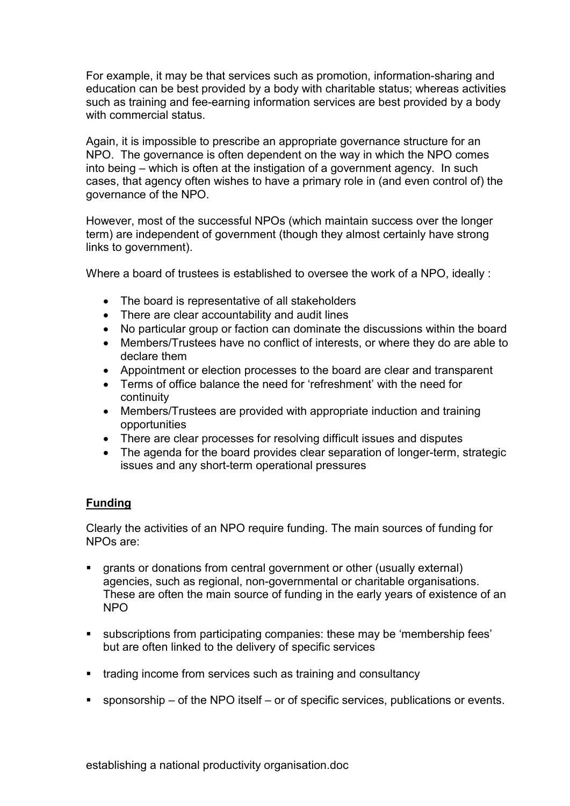For example, it may be that services such as promotion, information-sharing and education can be best provided by a body with charitable status; whereas activities such as training and fee-earning information services are best provided by a body with commercial status.

Again, it is impossible to prescribe an appropriate governance structure for an NPO. The governance is often dependent on the way in which the NPO comes into being – which is often at the instigation of a government agency. In such cases, that agency often wishes to have a primary role in (and even control of) the governance of the NPO.

However, most of the successful NPOs (which maintain success over the longer term) are independent of government (though they almost certainly have strong links to government).

Where a board of trustees is established to oversee the work of a NPO, ideally :

- The board is representative of all stakeholders
- There are clear accountability and audit lines
- No particular group or faction can dominate the discussions within the board
- Members/Trustees have no conflict of interests, or where they do are able to declare them
- Appointment or election processes to the board are clear and transparent
- Terms of office balance the need for 'refreshment' with the need for continuity
- Members/Trustees are provided with appropriate induction and training opportunities
- There are clear processes for resolving difficult issues and disputes
- The agenda for the board provides clear separation of longer-term, strategic issues and any short-term operational pressures

# **Funding**

Clearly the activities of an NPO require funding. The main sources of funding for NPOs are:

- grants or donations from central government or other (usually external) agencies, such as regional, non-governmental or charitable organisations. These are often the main source of funding in the early years of existence of an NPO
- subscriptions from participating companies: these may be 'membership fees' but are often linked to the delivery of specific services
- trading income from services such as training and consultancy
- sponsorship of the NPO itself or of specific services, publications or events.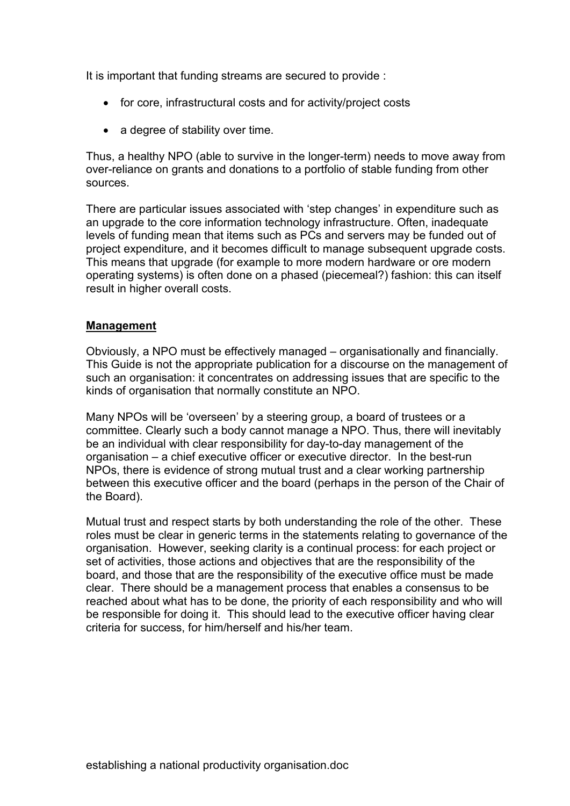It is important that funding streams are secured to provide :

- for core, infrastructural costs and for activity/project costs
- a degree of stability over time.

Thus, a healthy NPO (able to survive in the longer-term) needs to move away from over-reliance on grants and donations to a portfolio of stable funding from other sources.

There are particular issues associated with 'step changes' in expenditure such as an upgrade to the core information technology infrastructure. Often, inadequate levels of funding mean that items such as PCs and servers may be funded out of project expenditure, and it becomes difficult to manage subsequent upgrade costs. This means that upgrade (for example to more modern hardware or ore modern operating systems) is often done on a phased (piecemeal?) fashion: this can itself result in higher overall costs.

## **Management**

Obviously, a NPO must be effectively managed – organisationally and financially. This Guide is not the appropriate publication for a discourse on the management of such an organisation: it concentrates on addressing issues that are specific to the kinds of organisation that normally constitute an NPO.

Many NPOs will be 'overseen' by a steering group, a board of trustees or a committee. Clearly such a body cannot manage a NPO. Thus, there will inevitably be an individual with clear responsibility for day-to-day management of the organisation – a chief executive officer or executive director. In the best-run NPOs, there is evidence of strong mutual trust and a clear working partnership between this executive officer and the board (perhaps in the person of the Chair of the Board).

Mutual trust and respect starts by both understanding the role of the other. These roles must be clear in generic terms in the statements relating to governance of the organisation. However, seeking clarity is a continual process: for each project or set of activities, those actions and objectives that are the responsibility of the board, and those that are the responsibility of the executive office must be made clear. There should be a management process that enables a consensus to be reached about what has to be done, the priority of each responsibility and who will be responsible for doing it. This should lead to the executive officer having clear criteria for success, for him/herself and his/her team.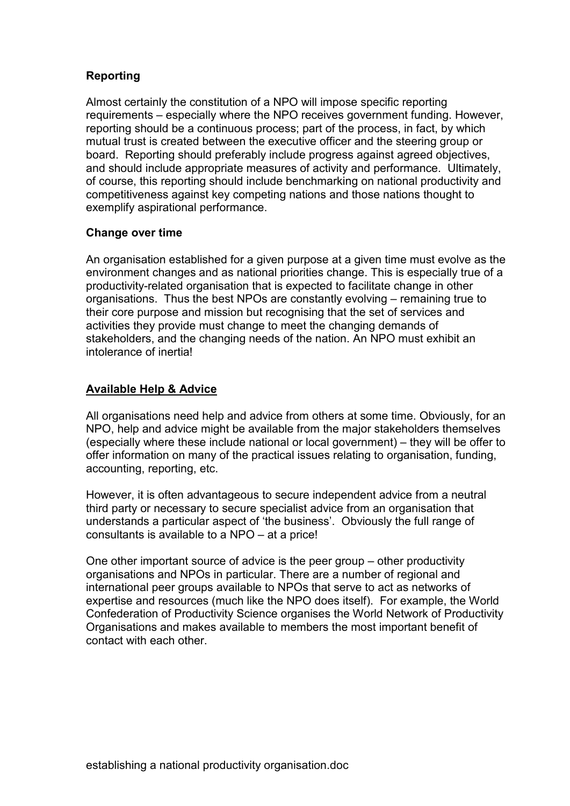# **Reporting**

Almost certainly the constitution of a NPO will impose specific reporting requirements – especially where the NPO receives government funding. However, reporting should be a continuous process; part of the process, in fact, by which mutual trust is created between the executive officer and the steering group or board. Reporting should preferably include progress against agreed objectives, and should include appropriate measures of activity and performance. Ultimately, of course, this reporting should include benchmarking on national productivity and competitiveness against key competing nations and those nations thought to exemplify aspirational performance.

# **Change over time**

An organisation established for a given purpose at a given time must evolve as the environment changes and as national priorities change. This is especially true of a productivity-related organisation that is expected to facilitate change in other organisations. Thus the best NPOs are constantly evolving – remaining true to their core purpose and mission but recognising that the set of services and activities they provide must change to meet the changing demands of stakeholders, and the changing needs of the nation. An NPO must exhibit an intolerance of inertia!

# **Available Help & Advice**

All organisations need help and advice from others at some time. Obviously, for an NPO, help and advice might be available from the major stakeholders themselves (especially where these include national or local government) – they will be offer to offer information on many of the practical issues relating to organisation, funding, accounting, reporting, etc.

However, it is often advantageous to secure independent advice from a neutral third party or necessary to secure specialist advice from an organisation that understands a particular aspect of 'the business'. Obviously the full range of consultants is available to a NPO – at a price!

One other important source of advice is the peer group – other productivity organisations and NPOs in particular. There are a number of regional and international peer groups available to NPOs that serve to act as networks of expertise and resources (much like the NPO does itself). For example, the World Confederation of Productivity Science organises the World Network of Productivity Organisations and makes available to members the most important benefit of contact with each other.